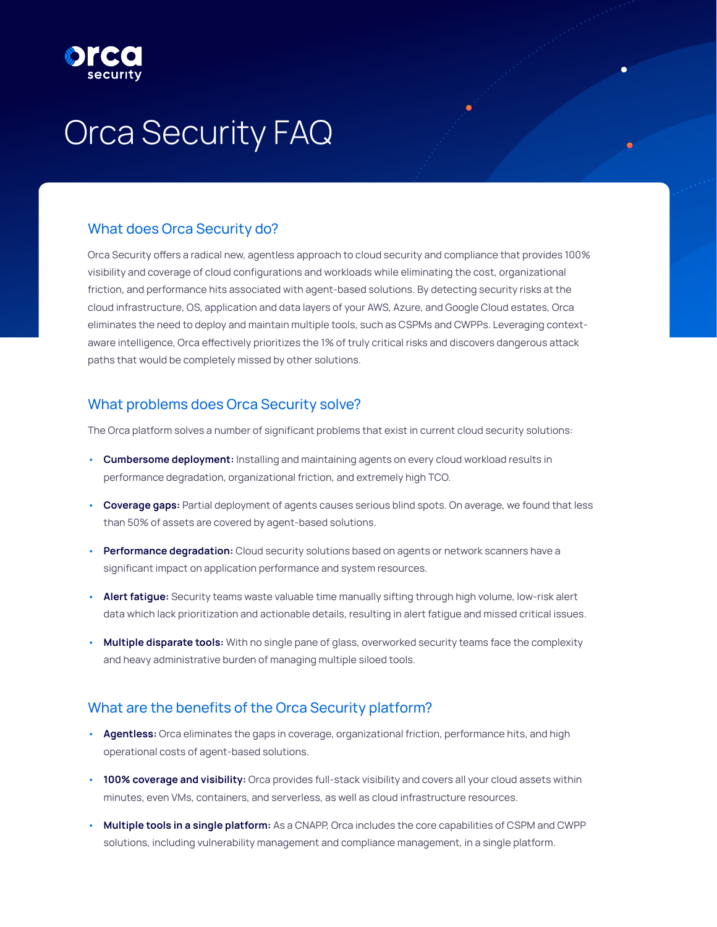# Orca Security FAQ

# What does Orca Security do?

Orca Security offers a radical new, agentless approach to cloud security and compliance that provides 100% visibility and coverage of cloud configurations and workloads while eliminating the cost, organizational friction, and performance hits associated with agent-based solutions. By detecting security risks at the cloud infrastructure, OS, application and data layers of your AWS, Azure, and Google Cloud estates, Orca eliminates the need to deploy and maintain multiple tools, such as CSPMs and CWPPs. Leveraging contextaware intelligence, Orca effectively prioritizes the 1% of truly critical risks and discovers dangerous attack paths that would be completely missed by other solutions.

# What problems does Orca Security solve?

The Orca platform solves a number of significant problems that exist in current cloud security solutions:

- **Cumbersome deployment:** Installing and maintaining agents on every cloud workload results in performance degradation, organizational friction, and extremely high TCO.
- **Coverage gaps:** Partial deployment of agents causes serious blind spots. On average, we found that less than 50% of assets are covered by agent-based solutions.
- **Performance degradation:** Cloud security solutions based on agents or network scanners have a significant impact on application performance and system resources.
- **Alert fatigue:** Security teams waste valuable time manually sifting through high volume, low-risk alert data which lack prioritization and actionable details, resulting in alert fatigue and missed critical issues.
- **Multiple disparate tools:** With no single pane of glass, overworked security teams face the complexity and heavy administrative burden of managing multiple siloed tools.

# What are the benefits of the Orca Security platform?

- **Agentless:** Orca eliminates the gaps in coverage, organizational friction, performance hits, and high operational costs of agent-based solutions.
- **100% coverage and visibility:** Orca provides full-stack visibility and covers all your cloud assets within minutes, even VMs, containers, and serverless, as well as cloud infrastructure resources.
- **Multiple tools in a single platform:** As a CNAPP, Orca includes the core capabilities of CSPM and CWPP solutions, including vulnerability management and compliance management, in a single platform.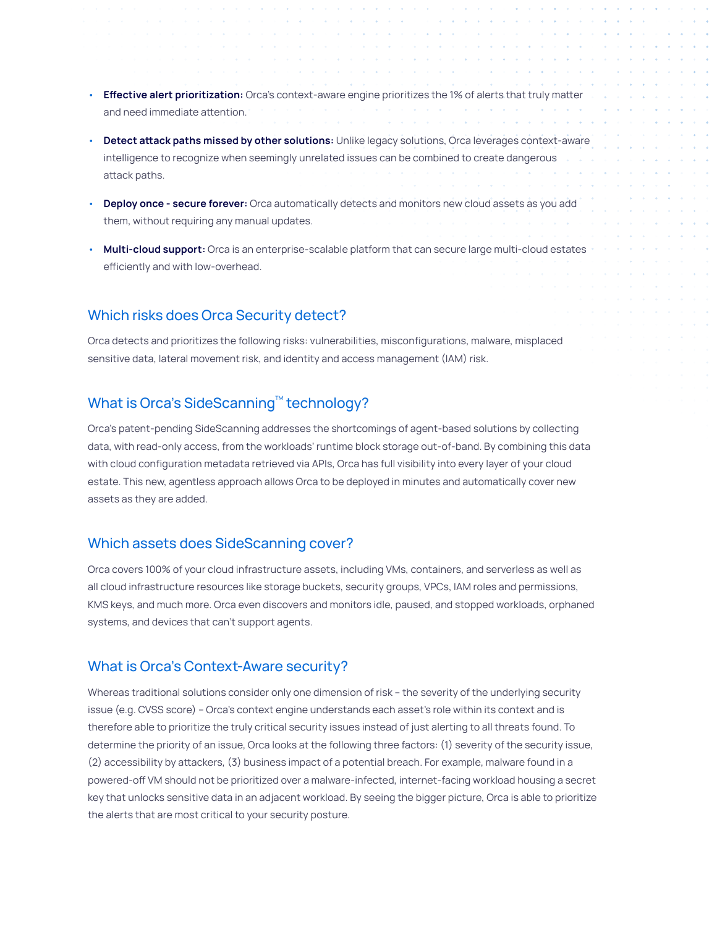- **Effective alert prioritization:** Orca's context-aware engine prioritizes the 1% of alerts that truly matter and need immediate attention.
- **Detect attack paths missed by other solutions:** Unlike legacy solutions, Orca leverages context-aware intelligence to recognize when seemingly unrelated issues can be combined to create dangerous attack paths.
- **Deploy once secure forever:** Orca automatically detects and monitors new cloud assets as you add them, without requiring any manual updates.
- **Multi-cloud support:** Orca is an enterprise-scalable platform that can secure large multi-cloud estates efficiently and with low-overhead.

#### Which risks does Orca Security detect?

Orca detects and prioritizes the following risks: vulnerabilities, misconfigurations, malware, misplaced sensitive data, lateral movement risk, and identity and access management (IAM) risk.

# What is Orca's SideScanning™ technology?

Orca's patent-pending SideScanning addresses the shortcomings of agent-based solutions by collecting data, with read-only access, from the workloads' runtime block storage out-of-band. By combining this data with cloud configuration metadata retrieved via APIs, Orca has full visibility into every layer of your cloud estate. This new, agentless approach allows Orca to be deployed in minutes and automatically cover new assets as they are added.

#### Which assets does SideScanning cover?

Orca covers 100% of your cloud infrastructure assets, including VMs, containers, and serverless as well as all cloud infrastructure resources like storage buckets, security groups, VPCs, IAM roles and permissions, KMS keys, and much more. Orca even discovers and monitors idle, paused, and stopped workloads, orphaned systems, and devices that can't support agents.

#### What is Orca's Context-Aware security?

Whereas traditional solutions consider only one dimension of risk – the severity of the underlying security issue (e.g. CVSS score) – Orca's context engine understands each asset's role within its context and is therefore able to prioritize the truly critical security issues instead of just alerting to all threats found. To determine the priority of an issue, Orca looks at the following three factors: (1) severity of the security issue, (2) accessibility by attackers, (3) business impact of a potential breach. For example, malware found in a powered-off VM should not be prioritized over a malware-infected, internet-facing workload housing a secret key that unlocks sensitive data in an adjacent workload. By seeing the bigger picture, Orca is able to prioritize the alerts that are most critical to your security posture.